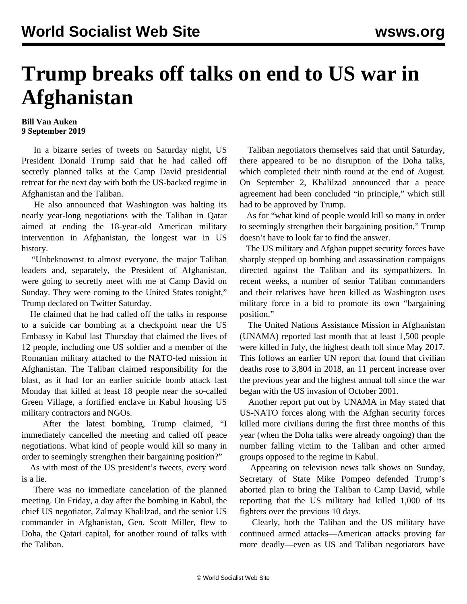## **Trump breaks off talks on end to US war in Afghanistan**

## **Bill Van Auken 9 September 2019**

 In a bizarre series of tweets on Saturday night, US President Donald Trump said that he had called off secretly planned talks at the Camp David presidential retreat for the next day with both the US-backed regime in Afghanistan and the Taliban.

 He also announced that Washington was halting its nearly year-long negotiations with the Taliban in Qatar aimed at ending the 18-year-old American military intervention in Afghanistan, the longest war in US history.

 "Unbeknownst to almost everyone, the major Taliban leaders and, separately, the President of Afghanistan, were going to secretly meet with me at Camp David on Sunday. They were coming to the United States tonight," Trump declared on Twitter Saturday.

 He claimed that he had called off the talks in response to a suicide car bombing at a checkpoint near the US Embassy in Kabul last Thursday that claimed the lives of 12 people, including one US soldier and a member of the Romanian military attached to the NATO-led mission in Afghanistan. The Taliban claimed responsibility for the blast, as it had for an earlier suicide bomb attack last Monday that killed at least 18 people near the so-called Green Village, a fortified enclave in Kabul housing US military contractors and NGOs.

 After the latest bombing, Trump claimed, "I immediately cancelled the meeting and called off peace negotiations. What kind of people would kill so many in order to seemingly strengthen their bargaining position?"

 As with most of the US president's tweets, every word is a lie.

 There was no immediate cancelation of the planned meeting. On Friday, a day after the bombing in Kabul, the chief US negotiator, Zalmay Khalilzad, and the senior US commander in Afghanistan, Gen. Scott Miller, flew to Doha, the Qatari capital, for another round of talks with the Taliban.

 Taliban negotiators themselves said that until Saturday, there appeared to be no disruption of the Doha talks, which completed their ninth round at the end of August. On September 2, Khalilzad announced that a peace agreement had been concluded "in principle," which still had to be approved by Trump.

 As for "what kind of people would kill so many in order to seemingly strengthen their bargaining position," Trump doesn't have to look far to find the answer.

 The US military and Afghan puppet security forces have sharply stepped up bombing and assassination campaigns directed against the Taliban and its sympathizers. In recent weeks, a number of senior Taliban commanders and their relatives have been killed as Washington uses military force in a bid to promote its own "bargaining position."

 The United Nations Assistance Mission in Afghanistan (UNAMA) reported last month that at least 1,500 people were killed in July, the highest death toll since May 2017. This follows an earlier UN report that found that civilian deaths rose to 3,804 in 2018, an 11 percent increase over the previous year and the highest annual toll since the war began with the US invasion of October 2001.

 Another report put out by UNAMA in May stated that US-NATO forces along with the Afghan security forces killed more civilians during the first three months of this year (when the Doha talks were already ongoing) than the number falling victim to the Taliban and other armed groups opposed to the regime in Kabul.

 Appearing on television news talk shows on Sunday, Secretary of State Mike Pompeo defended Trump's aborted plan to bring the Taliban to Camp David, while reporting that the US military had killed 1,000 of its fighters over the previous 10 days.

 Clearly, both the Taliban and the US military have continued armed attacks—American attacks proving far more deadly—even as US and Taliban negotiators have